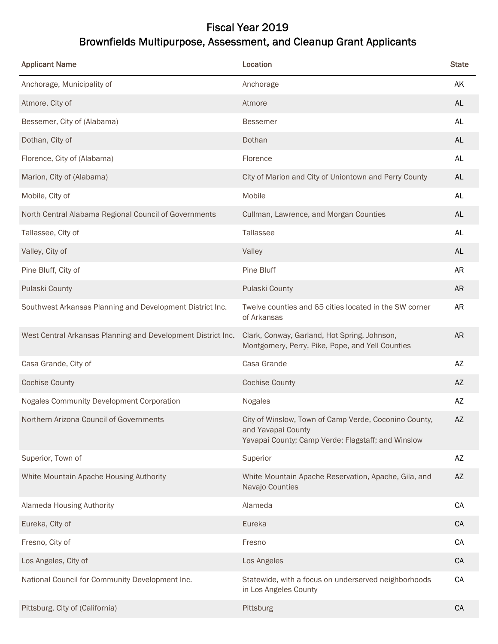## Fiscal Year 2019 Brownfields Multipurpose, Assessment, and Cleanup Grant Applicants

| <b>Applicant Name</b>                                        | Location                                                                                                                          | <b>State</b> |
|--------------------------------------------------------------|-----------------------------------------------------------------------------------------------------------------------------------|--------------|
| Anchorage, Municipality of                                   | Anchorage                                                                                                                         | AK           |
| Atmore, City of                                              | Atmore                                                                                                                            | <b>AL</b>    |
| Bessemer, City of (Alabama)                                  | <b>Bessemer</b>                                                                                                                   | AL           |
| Dothan, City of                                              | Dothan                                                                                                                            | <b>AL</b>    |
| Florence, City of (Alabama)                                  | Florence                                                                                                                          | AL           |
| Marion, City of (Alabama)                                    | City of Marion and City of Uniontown and Perry County                                                                             | AL           |
| Mobile, City of                                              | Mobile                                                                                                                            | AL           |
| North Central Alabama Regional Council of Governments        | Cullman, Lawrence, and Morgan Counties                                                                                            | <b>AL</b>    |
| Tallassee, City of                                           | Tallassee                                                                                                                         | <b>AL</b>    |
| Valley, City of                                              | Valley                                                                                                                            | <b>AL</b>    |
| Pine Bluff, City of                                          | Pine Bluff                                                                                                                        | <b>AR</b>    |
| Pulaski County                                               | Pulaski County                                                                                                                    | <b>AR</b>    |
| Southwest Arkansas Planning and Development District Inc.    | Twelve counties and 65 cities located in the SW corner<br>of Arkansas                                                             | <b>AR</b>    |
| West Central Arkansas Planning and Development District Inc. | Clark, Conway, Garland, Hot Spring, Johnson,<br>Montgomery, Perry, Pike, Pope, and Yell Counties                                  | <b>AR</b>    |
| Casa Grande, City of                                         | Casa Grande                                                                                                                       | AZ           |
| <b>Cochise County</b>                                        | <b>Cochise County</b>                                                                                                             | AZ           |
| Nogales Community Development Corporation                    | Nogales                                                                                                                           | AZ           |
| Northern Arizona Council of Governments                      | City of Winslow, Town of Camp Verde, Coconino County,<br>and Yavapai County<br>Yavapai County; Camp Verde; Flagstaff; and Winslow | AZ           |
| Superior, Town of                                            | Superior                                                                                                                          | AZ           |
| White Mountain Apache Housing Authority                      | White Mountain Apache Reservation, Apache, Gila, and<br>Navajo Counties                                                           | AZ           |
| Alameda Housing Authority                                    | Alameda                                                                                                                           | CA           |
| Eureka, City of                                              | Eureka                                                                                                                            | CA           |
| Fresno, City of                                              | Fresno                                                                                                                            | CA           |
| Los Angeles, City of                                         | Los Angeles                                                                                                                       | CA           |
| National Council for Community Development Inc.              | Statewide, with a focus on underserved neighborhoods<br>in Los Angeles County                                                     | CA           |
| Pittsburg, City of (California)                              | Pittsburg                                                                                                                         | CA           |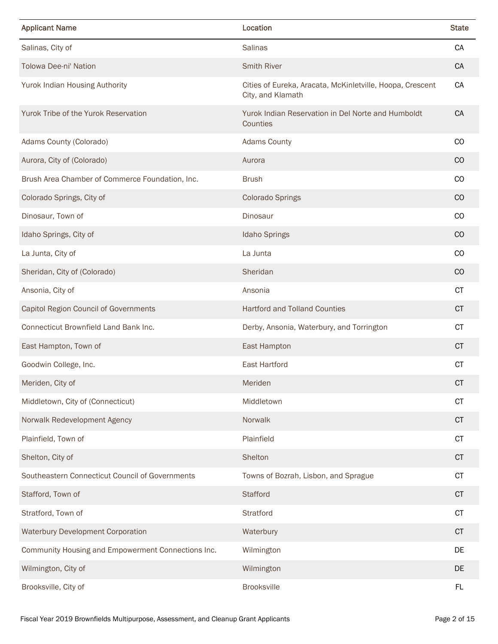| <b>Applicant Name</b>                              | Location                                                                       | <b>State</b>  |
|----------------------------------------------------|--------------------------------------------------------------------------------|---------------|
| Salinas, City of                                   | Salinas                                                                        | CA            |
| <b>Tolowa Dee-ni' Nation</b>                       | <b>Smith River</b>                                                             | CA            |
| Yurok Indian Housing Authority                     | Cities of Eureka, Aracata, McKinletville, Hoopa, Crescent<br>City, and Klamath | CA            |
| Yurok Tribe of the Yurok Reservation               | Yurok Indian Reservation in Del Norte and Humboldt<br>Counties                 | CA            |
| Adams County (Colorado)                            | <b>Adams County</b>                                                            | CO            |
| Aurora, City of (Colorado)                         | Aurora                                                                         | CO            |
| Brush Area Chamber of Commerce Foundation, Inc.    | <b>Brush</b>                                                                   | CO            |
| Colorado Springs, City of                          | <b>Colorado Springs</b>                                                        | CO            |
| Dinosaur, Town of                                  | Dinosaur                                                                       | CO            |
| Idaho Springs, City of                             | <b>Idaho Springs</b>                                                           | CO            |
| La Junta, City of                                  | La Junta                                                                       | <sub>CO</sub> |
| Sheridan, City of (Colorado)                       | Sheridan                                                                       | CO            |
| Ansonia, City of                                   | Ansonia                                                                        | <b>CT</b>     |
| Capitol Region Council of Governments              | <b>Hartford and Tolland Counties</b>                                           | <b>CT</b>     |
| Connecticut Brownfield Land Bank Inc.              | Derby, Ansonia, Waterbury, and Torrington                                      | <b>CT</b>     |
| East Hampton, Town of                              | East Hampton                                                                   | <b>CT</b>     |
| Goodwin College, Inc.                              | East Hartford                                                                  | <b>CT</b>     |
| Meriden, City of                                   | Meriden                                                                        | <b>CT</b>     |
| Middletown, City of (Connecticut)                  | Middletown                                                                     | <b>CT</b>     |
| Norwalk Redevelopment Agency                       | Norwalk                                                                        | CT            |
| Plainfield, Town of                                | Plainfield                                                                     | CT            |
| Shelton, City of                                   | Shelton                                                                        | <b>CT</b>     |
| Southeastern Connecticut Council of Governments    | Towns of Bozrah, Lisbon, and Sprague                                           | <b>CT</b>     |
| Stafford, Town of                                  | Stafford                                                                       | <b>CT</b>     |
| Stratford, Town of                                 | Stratford                                                                      | <b>CT</b>     |
| <b>Waterbury Development Corporation</b>           | Waterbury                                                                      | <b>CT</b>     |
| Community Housing and Empowerment Connections Inc. | Wilmington                                                                     | DE            |
| Wilmington, City of                                | Wilmington                                                                     | DE            |
| Brooksville, City of                               | <b>Brooksville</b>                                                             | <b>FL</b>     |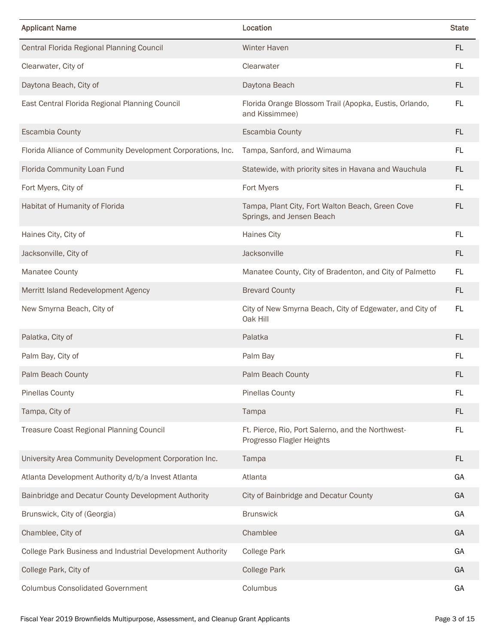| <b>Applicant Name</b>                                        | Location                                                                       | <b>State</b> |
|--------------------------------------------------------------|--------------------------------------------------------------------------------|--------------|
| Central Florida Regional Planning Council                    | <b>Winter Haven</b>                                                            | <b>FL</b>    |
| Clearwater, City of                                          | Clearwater                                                                     | FL           |
| Daytona Beach, City of                                       | Daytona Beach                                                                  | <b>FL</b>    |
| East Central Florida Regional Planning Council               | Florida Orange Blossom Trail (Apopka, Eustis, Orlando,<br>and Kissimmee)       | FL           |
| <b>Escambia County</b>                                       | <b>Escambia County</b>                                                         | <b>FL</b>    |
| Florida Alliance of Community Development Corporations, Inc. | Tampa, Sanford, and Wimauma                                                    | <b>FL</b>    |
| Florida Community Loan Fund                                  | Statewide, with priority sites in Havana and Wauchula                          | FL.          |
| Fort Myers, City of                                          | Fort Myers                                                                     | FL           |
| Habitat of Humanity of Florida                               | Tampa, Plant City, Fort Walton Beach, Green Cove<br>Springs, and Jensen Beach  | <b>FL</b>    |
| Haines City, City of                                         | <b>Haines City</b>                                                             | FL           |
| Jacksonville, City of                                        | Jacksonville                                                                   | <b>FL</b>    |
| <b>Manatee County</b>                                        | Manatee County, City of Bradenton, and City of Palmetto                        | FL           |
| Merritt Island Redevelopment Agency                          | <b>Brevard County</b>                                                          | <b>FL</b>    |
| New Smyrna Beach, City of                                    | City of New Smyrna Beach, City of Edgewater, and City of<br>Oak Hill           | FL           |
| Palatka, City of                                             | Palatka                                                                        | <b>FL</b>    |
| Palm Bay, City of                                            | Palm Bay                                                                       | FL           |
| Palm Beach County                                            | Palm Beach County                                                              | <b>FL</b>    |
| <b>Pinellas County</b>                                       | <b>Pinellas County</b>                                                         | FL.          |
| Tampa, City of                                               | Tampa                                                                          | FL.          |
| <b>Treasure Coast Regional Planning Council</b>              | Ft. Pierce, Rio, Port Salerno, and the Northwest-<br>Progresso Flagler Heights | FL.          |
| University Area Community Development Corporation Inc.       | Tampa                                                                          | FL.          |
| Atlanta Development Authority d/b/a Invest Atlanta           | Atlanta                                                                        | GA           |
| Bainbridge and Decatur County Development Authority          | City of Bainbridge and Decatur County                                          | GA           |
| Brunswick, City of (Georgia)                                 | <b>Brunswick</b>                                                               | GA           |
| Chamblee, City of                                            | Chamblee                                                                       | GA           |
| College Park Business and Industrial Development Authority   | <b>College Park</b>                                                            | GA           |
| College Park, City of                                        | <b>College Park</b>                                                            | GA           |
| <b>Columbus Consolidated Government</b>                      | Columbus                                                                       | GA           |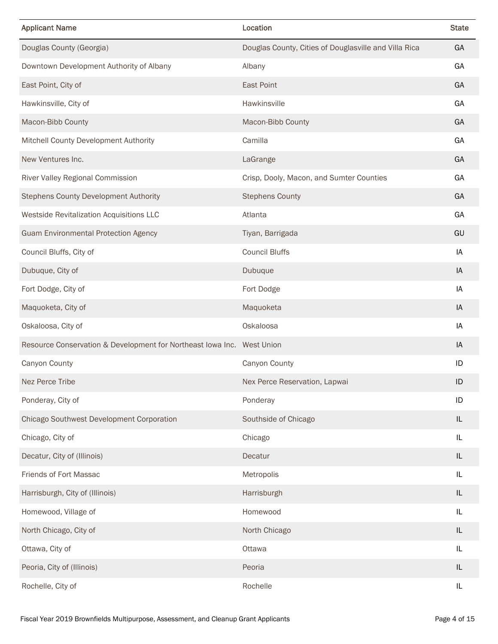| <b>Applicant Name</b>                                                  | Location                                              | <b>State</b> |
|------------------------------------------------------------------------|-------------------------------------------------------|--------------|
| Douglas County (Georgia)                                               | Douglas County, Cities of Douglasville and Villa Rica | GA           |
| Downtown Development Authority of Albany                               | Albany                                                | GA           |
| East Point, City of                                                    | East Point                                            | GA           |
| Hawkinsville, City of                                                  | Hawkinsville                                          | GA           |
| Macon-Bibb County                                                      | Macon-Bibb County                                     | GA           |
| Mitchell County Development Authority                                  | Camilla                                               | GA           |
| New Ventures Inc.                                                      | LaGrange                                              | GA           |
| River Valley Regional Commission                                       | Crisp, Dooly, Macon, and Sumter Counties              | GA           |
| <b>Stephens County Development Authority</b>                           | <b>Stephens County</b>                                | GA           |
| Westside Revitalization Acquisitions LLC                               | Atlanta                                               | GA           |
| <b>Guam Environmental Protection Agency</b>                            | Tiyan, Barrigada                                      | GU           |
| Council Bluffs, City of                                                | <b>Council Bluffs</b>                                 | IA           |
| Dubuque, City of                                                       | Dubuque                                               | IA           |
| Fort Dodge, City of                                                    | Fort Dodge                                            | IA           |
| Maquoketa, City of                                                     | Maquoketa                                             | IA           |
| Oskaloosa, City of                                                     | Oskaloosa                                             | IA           |
| Resource Conservation & Development for Northeast Iowa Inc. West Union |                                                       | IA           |
| Canyon County                                                          | Canyon County                                         | ID           |
| Nez Perce Tribe                                                        | Nex Perce Reservation, Lapwai                         | ID           |
| Ponderay, City of                                                      | Ponderay                                              | ID           |
| Chicago Southwest Development Corporation                              | Southside of Chicago                                  | IL           |
| Chicago, City of                                                       | Chicago                                               | IL           |
| Decatur, City of (Illinois)                                            | Decatur                                               | IL           |
| Friends of Fort Massac                                                 | Metropolis                                            | IL           |
| Harrisburgh, City of (Illinois)                                        | Harrisburgh                                           | IL           |
| Homewood, Village of                                                   | Homewood                                              | $\sf IL$     |
| North Chicago, City of                                                 | North Chicago                                         | IL           |
| Ottawa, City of                                                        | Ottawa                                                | IL           |
| Peoria, City of (Illinois)                                             | Peoria                                                | IL           |
| Rochelle, City of                                                      | Rochelle                                              | IL           |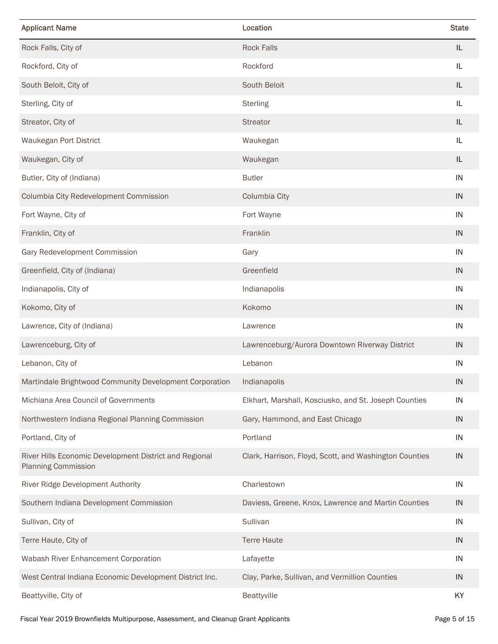| <b>Applicant Name</b>                                                                | Location                                               | <b>State</b> |
|--------------------------------------------------------------------------------------|--------------------------------------------------------|--------------|
| Rock Falls, City of                                                                  | <b>Rock Falls</b>                                      | IL           |
| Rockford, City of                                                                    | Rockford                                               | IL           |
| South Beloit, City of                                                                | South Beloit                                           | IL           |
| Sterling, City of                                                                    | <b>Sterling</b>                                        | IL           |
| Streator, City of                                                                    | <b>Streator</b>                                        | IL           |
| Waukegan Port District                                                               | Waukegan                                               | IL           |
| Waukegan, City of                                                                    | Waukegan                                               | IL           |
| Butler, City of (Indiana)                                                            | <b>Butler</b>                                          | IN           |
| Columbia City Redevelopment Commission                                               | Columbia City                                          | IN           |
| Fort Wayne, City of                                                                  | Fort Wayne                                             | IN           |
| Franklin, City of                                                                    | Franklin                                               | IN           |
| Gary Redevelopment Commission                                                        | Gary                                                   | IN           |
| Greenfield, City of (Indiana)                                                        | Greenfield                                             | IN           |
| Indianapolis, City of                                                                | Indianapolis                                           | IN           |
| Kokomo, City of                                                                      | Kokomo                                                 | IN           |
| Lawrence, City of (Indiana)                                                          | Lawrence                                               | IN           |
| Lawrenceburg, City of                                                                | Lawrenceburg/Aurora Downtown Riverway District         | IN           |
| Lebanon, City of                                                                     | Lebanon                                                | IN           |
| Martindale Brightwood Community Development Corporation                              | Indianapolis                                           | IN           |
| Michiana Area Council of Governments                                                 | Elkhart, Marshall, Kosciusko, and St. Joseph Counties  | IN           |
| Northwestern Indiana Regional Planning Commission                                    | Gary, Hammond, and East Chicago                        | IN           |
| Portland, City of                                                                    | Portland                                               | IN           |
| River Hills Economic Development District and Regional<br><b>Planning Commission</b> | Clark, Harrison, Floyd, Scott, and Washington Counties | IN           |
| River Ridge Development Authority                                                    | Charlestown                                            | IN           |
| Southern Indiana Development Commission                                              | Daviess, Greene, Knox, Lawrence and Martin Counties    | IN           |
| Sullivan, City of                                                                    | Sullivan                                               | IN           |
| Terre Haute, City of                                                                 | <b>Terre Haute</b>                                     | IN           |
| Wabash River Enhancement Corporation                                                 | Lafayette                                              | IN           |
| West Central Indiana Economic Development District Inc.                              | Clay, Parke, Sullivan, and Vermillion Counties         | IN           |
| Beattyville, City of                                                                 | Beattyville                                            | KY           |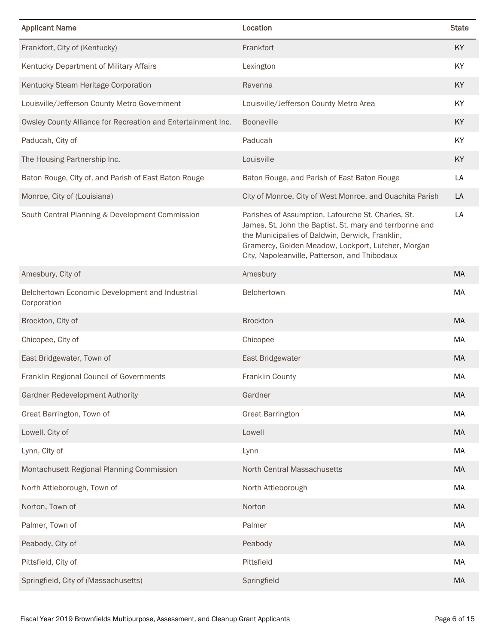| <b>Applicant Name</b>                                          | Location                                                                                                                                                                                                                                                                | <b>State</b> |
|----------------------------------------------------------------|-------------------------------------------------------------------------------------------------------------------------------------------------------------------------------------------------------------------------------------------------------------------------|--------------|
| Frankfort, City of (Kentucky)                                  | Frankfort                                                                                                                                                                                                                                                               | KY           |
| Kentucky Department of Military Affairs                        | Lexington                                                                                                                                                                                                                                                               | KY           |
| Kentucky Steam Heritage Corporation                            | Ravenna                                                                                                                                                                                                                                                                 | <b>KY</b>    |
| Louisville/Jefferson County Metro Government                   | Louisville/Jefferson County Metro Area                                                                                                                                                                                                                                  | KY           |
| Owsley County Alliance for Recreation and Entertainment Inc.   | Booneville                                                                                                                                                                                                                                                              | KY           |
| Paducah, City of                                               | Paducah                                                                                                                                                                                                                                                                 | KY           |
| The Housing Partnership Inc.                                   | Louisville                                                                                                                                                                                                                                                              | KY           |
| Baton Rouge, City of, and Parish of East Baton Rouge           | Baton Rouge, and Parish of East Baton Rouge                                                                                                                                                                                                                             | LA           |
| Monroe, City of (Louisiana)                                    | City of Monroe, City of West Monroe, and Ouachita Parish                                                                                                                                                                                                                | LA           |
| South Central Planning & Development Commission                | Parishes of Assumption, Lafourche St. Charles, St.<br>James, St. John the Baptist, St. mary and terrbonne and<br>the Municipalies of Baldwin, Berwick, Franklin,<br>Gramercy, Golden Meadow, Lockport, Lutcher, Morgan<br>City, Napoleanville, Patterson, and Thibodaux | LA           |
| Amesbury, City of                                              | Amesbury                                                                                                                                                                                                                                                                | <b>MA</b>    |
| Belchertown Economic Development and Industrial<br>Corporation | Belchertown                                                                                                                                                                                                                                                             | MA           |
| Brockton, City of                                              | <b>Brockton</b>                                                                                                                                                                                                                                                         | MA           |
| Chicopee, City of                                              | Chicopee                                                                                                                                                                                                                                                                | MA           |
| East Bridgewater, Town of                                      | East Bridgewater                                                                                                                                                                                                                                                        | МA           |
| Franklin Regional Council of Governments                       | Franklin County                                                                                                                                                                                                                                                         | MA           |
| Gardner Redevelopment Authority                                | Gardner                                                                                                                                                                                                                                                                 | MA           |
| Great Barrington, Town of                                      | <b>Great Barrington</b>                                                                                                                                                                                                                                                 | MA           |
| Lowell, City of                                                | Lowell                                                                                                                                                                                                                                                                  | MA           |
| Lynn, City of                                                  | Lynn                                                                                                                                                                                                                                                                    | MA           |
| Montachusett Regional Planning Commission                      | North Central Massachusetts                                                                                                                                                                                                                                             | MA           |
| North Attleborough, Town of                                    | North Attleborough                                                                                                                                                                                                                                                      | MA           |
| Norton, Town of                                                | Norton                                                                                                                                                                                                                                                                  | MA           |
| Palmer, Town of                                                | Palmer                                                                                                                                                                                                                                                                  | MA           |
| Peabody, City of                                               | Peabody                                                                                                                                                                                                                                                                 | MA           |
| Pittsfield, City of                                            | Pittsfield                                                                                                                                                                                                                                                              | MA           |
| Springfield, City of (Massachusetts)                           | Springfield                                                                                                                                                                                                                                                             | MA           |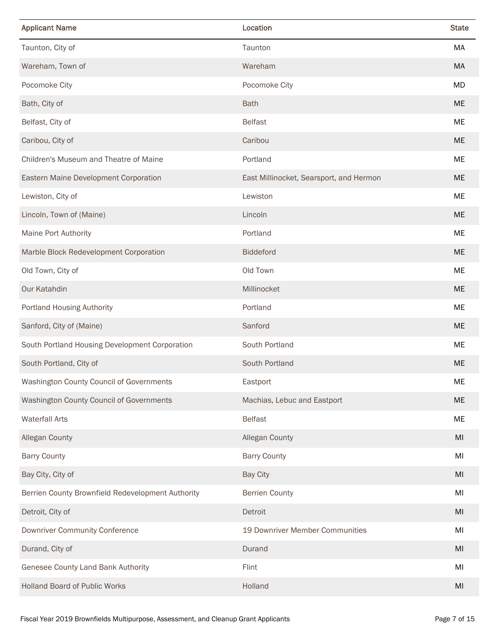| <b>Applicant Name</b>                             | Location                                | <b>State</b> |
|---------------------------------------------------|-----------------------------------------|--------------|
| Taunton, City of                                  | Taunton                                 | MA           |
| Wareham, Town of                                  | Wareham                                 | MA           |
| Pocomoke City                                     | Pocomoke City                           | MD           |
| Bath, City of                                     | <b>Bath</b>                             | <b>ME</b>    |
| Belfast, City of                                  | <b>Belfast</b>                          | ME           |
| Caribou, City of                                  | Caribou                                 | ME.          |
| Children's Museum and Theatre of Maine            | Portland                                | ME           |
| Eastern Maine Development Corporation             | East Millinocket, Searsport, and Hermon | <b>ME</b>    |
| Lewiston, City of                                 | Lewiston                                | ME           |
| Lincoln, Town of (Maine)                          | Lincoln                                 | <b>ME</b>    |
| <b>Maine Port Authority</b>                       | Portland                                | ME           |
| Marble Block Redevelopment Corporation            | <b>Biddeford</b>                        | ME.          |
| Old Town, City of                                 | Old Town                                | ME           |
| Our Katahdin                                      | Millinocket                             | <b>ME</b>    |
| <b>Portland Housing Authority</b>                 | Portland                                | ME           |
| Sanford, City of (Maine)                          | Sanford                                 | ME.          |
| South Portland Housing Development Corporation    | South Portland                          | ME           |
| South Portland, City of                           | South Portland                          | <b>ME</b>    |
| Washington County Council of Governments          | Eastport                                | ME           |
| Washington County Council of Governments          | Machias, Lebuc and Eastport             | ME           |
| <b>Waterfall Arts</b>                             | <b>Belfast</b>                          | ME           |
| Allegan County                                    | <b>Allegan County</b>                   | MI           |
| <b>Barry County</b>                               | <b>Barry County</b>                     | MI           |
| Bay City, City of                                 | <b>Bay City</b>                         | MI           |
| Berrien County Brownfield Redevelopment Authority | <b>Berrien County</b>                   | MI           |
| Detroit, City of                                  | Detroit                                 | MI           |
| <b>Downriver Community Conference</b>             | 19 Downriver Member Communities         | MI           |
| Durand, City of                                   | Durand                                  | MI           |
| Genesee County Land Bank Authority                | Flint                                   | MI           |
| Holland Board of Public Works                     | Holland                                 | MI           |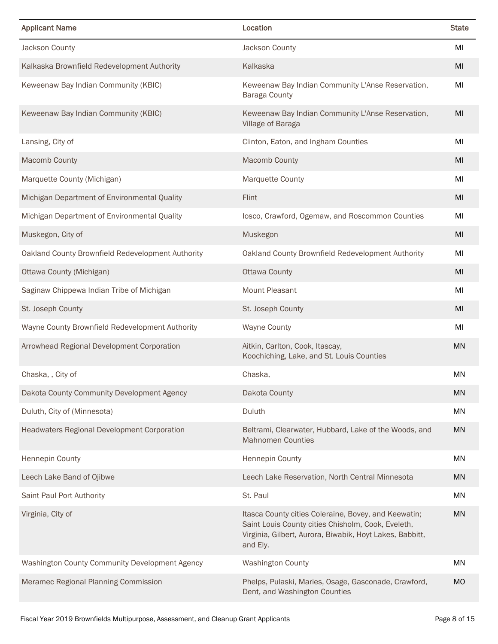| <b>Applicant Name</b>                              | Location                                                                                                                                                                           | <b>State</b> |
|----------------------------------------------------|------------------------------------------------------------------------------------------------------------------------------------------------------------------------------------|--------------|
| Jackson County                                     | Jackson County                                                                                                                                                                     | MI           |
| Kalkaska Brownfield Redevelopment Authority        | Kalkaska                                                                                                                                                                           | MI           |
| Keweenaw Bay Indian Community (KBIC)               | Keweenaw Bay Indian Community L'Anse Reservation,<br>Baraga County                                                                                                                 | MI           |
| Keweenaw Bay Indian Community (KBIC)               | Keweenaw Bay Indian Community L'Anse Reservation,<br>Village of Baraga                                                                                                             | MI           |
| Lansing, City of                                   | Clinton, Eaton, and Ingham Counties                                                                                                                                                | MI           |
| <b>Macomb County</b>                               | <b>Macomb County</b>                                                                                                                                                               | MI           |
| Marquette County (Michigan)                        | <b>Marquette County</b>                                                                                                                                                            | MI           |
| Michigan Department of Environmental Quality       | Flint                                                                                                                                                                              | MI           |
| Michigan Department of Environmental Quality       | losco, Crawford, Ogemaw, and Roscommon Counties                                                                                                                                    | MI           |
| Muskegon, City of                                  | Muskegon                                                                                                                                                                           | MI           |
| Oakland County Brownfield Redevelopment Authority  | Oakland County Brownfield Redevelopment Authority                                                                                                                                  | MI           |
| Ottawa County (Michigan)                           | <b>Ottawa County</b>                                                                                                                                                               | MI           |
| Saginaw Chippewa Indian Tribe of Michigan          | <b>Mount Pleasant</b>                                                                                                                                                              | MI           |
| St. Joseph County                                  | St. Joseph County                                                                                                                                                                  | MI           |
| Wayne County Brownfield Redevelopment Authority    | <b>Wayne County</b>                                                                                                                                                                | MI           |
| Arrowhead Regional Development Corporation         | Aitkin, Carlton, Cook, Itascay,<br>Koochiching, Lake, and St. Louis Counties                                                                                                       | <b>MN</b>    |
| Chaska, , City of                                  | Chaska,                                                                                                                                                                            | <b>MN</b>    |
| Dakota County Community Development Agency         | Dakota County                                                                                                                                                                      | <b>MN</b>    |
| Duluth, City of (Minnesota)                        | Duluth                                                                                                                                                                             | ΜN           |
| <b>Headwaters Regional Development Corporation</b> | Beltrami, Clearwater, Hubbard, Lake of the Woods, and<br><b>Mahnomen Counties</b>                                                                                                  | <b>MN</b>    |
| Hennepin County                                    | <b>Hennepin County</b>                                                                                                                                                             | <b>MN</b>    |
| Leech Lake Band of Ojibwe                          | Leech Lake Reservation, North Central Minnesota                                                                                                                                    | <b>MN</b>    |
| Saint Paul Port Authority                          | St. Paul                                                                                                                                                                           | MN           |
| Virginia, City of                                  | Itasca County cities Coleraine, Bovey, and Keewatin;<br>Saint Louis County cities Chisholm, Cook, Eveleth,<br>Virginia, Gilbert, Aurora, Biwabik, Hoyt Lakes, Babbitt,<br>and Ely. | <b>MN</b>    |
| Washington County Community Development Agency     | <b>Washington County</b>                                                                                                                                                           | <b>MN</b>    |
| Meramec Regional Planning Commission               | Phelps, Pulaski, Maries, Osage, Gasconade, Crawford,<br>Dent, and Washington Counties                                                                                              | <b>MO</b>    |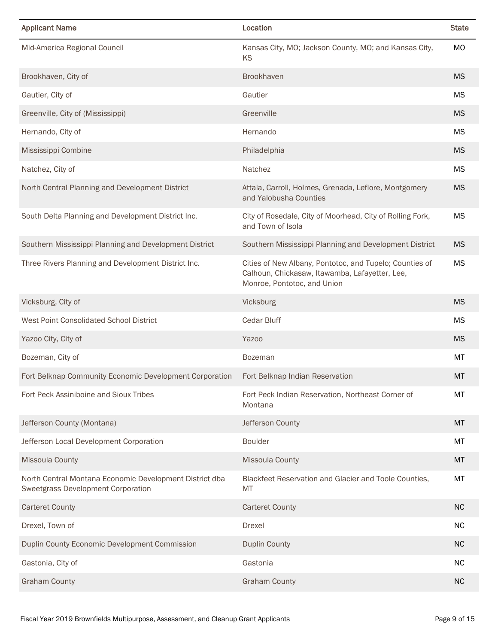| <b>Applicant Name</b>                                                                         | Location                                                                                                                                 | <b>State</b> |
|-----------------------------------------------------------------------------------------------|------------------------------------------------------------------------------------------------------------------------------------------|--------------|
| Mid-America Regional Council                                                                  | Kansas City, MO; Jackson County, MO; and Kansas City,<br>KS                                                                              | MO           |
| Brookhaven, City of                                                                           | <b>Brookhaven</b>                                                                                                                        | <b>MS</b>    |
| Gautier, City of                                                                              | Gautier                                                                                                                                  | MS           |
| Greenville, City of (Mississippi)                                                             | Greenville                                                                                                                               | <b>MS</b>    |
| Hernando, City of                                                                             | Hernando                                                                                                                                 | <b>MS</b>    |
| Mississippi Combine                                                                           | Philadelphia                                                                                                                             | <b>MS</b>    |
| Natchez, City of                                                                              | Natchez                                                                                                                                  | MS           |
| North Central Planning and Development District                                               | Attala, Carroll, Holmes, Grenada, Leflore, Montgomery<br>and Yalobusha Counties                                                          | <b>MS</b>    |
| South Delta Planning and Development District Inc.                                            | City of Rosedale, City of Moorhead, City of Rolling Fork,<br>and Town of Isola                                                           | <b>MS</b>    |
| Southern Mississippi Planning and Development District                                        | Southern Mississippi Planning and Development District                                                                                   | <b>MS</b>    |
| Three Rivers Planning and Development District Inc.                                           | Cities of New Albany, Pontotoc, and Tupelo; Counties of<br>Calhoun, Chickasaw, Itawamba, Lafayetter, Lee,<br>Monroe, Pontotoc, and Union | MS           |
| Vicksburg, City of                                                                            | Vicksburg                                                                                                                                | <b>MS</b>    |
| West Point Consolidated School District                                                       | Cedar Bluff                                                                                                                              | <b>MS</b>    |
| Yazoo City, City of                                                                           | <b>Yazoo</b>                                                                                                                             | <b>MS</b>    |
| Bozeman, City of                                                                              | <b>Bozeman</b>                                                                                                                           | МT           |
| Fort Belknap Community Economic Development Corporation                                       | Fort Belknap Indian Reservation                                                                                                          | MT           |
| Fort Peck Assiniboine and Sioux Tribes                                                        | Fort Peck Indian Reservation, Northeast Corner of<br>Montana                                                                             | MT           |
| Jefferson County (Montana)                                                                    | Jefferson County                                                                                                                         | MT           |
| Jefferson Local Development Corporation                                                       | <b>Boulder</b>                                                                                                                           | МT           |
| Missoula County                                                                               | <b>Missoula County</b>                                                                                                                   | МT           |
| North Central Montana Economic Development District dba<br>Sweetgrass Development Corporation | Blackfeet Reservation and Glacier and Toole Counties,<br>MT                                                                              | MT           |
| <b>Carteret County</b>                                                                        | <b>Carteret County</b>                                                                                                                   | <b>NC</b>    |
| Drexel, Town of                                                                               | Drexel                                                                                                                                   | <b>NC</b>    |
| Duplin County Economic Development Commission                                                 | <b>Duplin County</b>                                                                                                                     | <b>NC</b>    |
| Gastonia, City of                                                                             | Gastonia                                                                                                                                 | <b>NC</b>    |
| <b>Graham County</b>                                                                          | <b>Graham County</b>                                                                                                                     | <b>NC</b>    |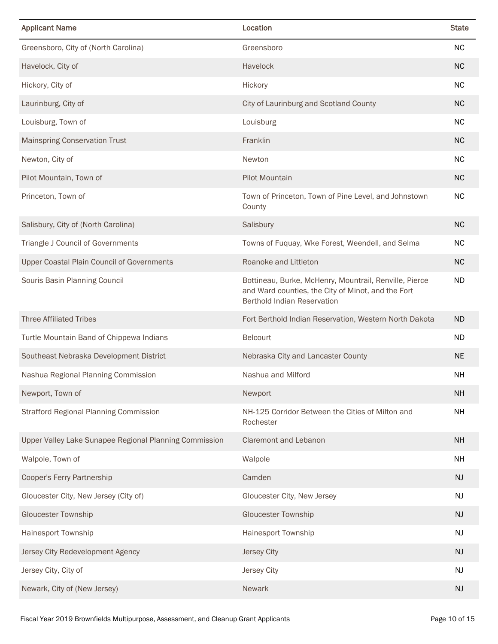| <b>Applicant Name</b>                                  | Location                                                                                                                                           | <b>State</b> |
|--------------------------------------------------------|----------------------------------------------------------------------------------------------------------------------------------------------------|--------------|
| Greensboro, City of (North Carolina)                   | Greensboro                                                                                                                                         | <b>NC</b>    |
| Havelock, City of                                      | Havelock                                                                                                                                           | <b>NC</b>    |
| Hickory, City of                                       | Hickory                                                                                                                                            | <b>NC</b>    |
| Laurinburg, City of                                    | City of Laurinburg and Scotland County                                                                                                             | <b>NC</b>    |
| Louisburg, Town of                                     | Louisburg                                                                                                                                          | <b>NC</b>    |
| <b>Mainspring Conservation Trust</b>                   | Franklin                                                                                                                                           | <b>NC</b>    |
| Newton, City of                                        | Newton                                                                                                                                             | <b>NC</b>    |
| Pilot Mountain, Town of                                | <b>Pilot Mountain</b>                                                                                                                              | <b>NC</b>    |
| Princeton, Town of                                     | Town of Princeton, Town of Pine Level, and Johnstown<br>County                                                                                     | <b>NC</b>    |
| Salisbury, City of (North Carolina)                    | Salisbury                                                                                                                                          | <b>NC</b>    |
| Triangle J Council of Governments                      | Towns of Fuquay, Wke Forest, Weendell, and Selma                                                                                                   | <b>NC</b>    |
| <b>Upper Coastal Plain Council of Governments</b>      | Roanoke and Littleton                                                                                                                              | <b>NC</b>    |
| Souris Basin Planning Council                          | Bottineau, Burke, McHenry, Mountrail, Renville, Pierce<br>and Ward counties, the City of Minot, and the Fort<br><b>Berthold Indian Reservation</b> | ND           |
| <b>Three Affiliated Tribes</b>                         | Fort Berthold Indian Reservation, Western North Dakota                                                                                             | <b>ND</b>    |
| Turtle Mountain Band of Chippewa Indians               | Belcourt                                                                                                                                           | <b>ND</b>    |
| Southeast Nebraska Development District                | Nebraska City and Lancaster County                                                                                                                 | <b>NE</b>    |
| Nashua Regional Planning Commission                    | Nashua and Milford                                                                                                                                 | <b>NH</b>    |
| Newport, Town of                                       | Newport                                                                                                                                            | <b>NH</b>    |
| <b>Strafford Regional Planning Commission</b>          | NH-125 Corridor Between the Cities of Milton and<br>Rochester                                                                                      | <b>NH</b>    |
| Upper Valley Lake Sunapee Regional Planning Commission | <b>Claremont and Lebanon</b>                                                                                                                       | <b>NH</b>    |
| Walpole, Town of                                       | Walpole                                                                                                                                            | <b>NH</b>    |
| Cooper's Ferry Partnership                             | Camden                                                                                                                                             | <b>NJ</b>    |
| Gloucester City, New Jersey (City of)                  | Gloucester City, New Jersey                                                                                                                        | NJ           |
| <b>Gloucester Township</b>                             | <b>Gloucester Township</b>                                                                                                                         | NJ           |
| Hainesport Township                                    | Hainesport Township                                                                                                                                | NJ           |
| Jersey City Redevelopment Agency                       | <b>Jersey City</b>                                                                                                                                 | NJ           |
| Jersey City, City of                                   | Jersey City                                                                                                                                        | <b>NJ</b>    |
| Newark, City of (New Jersey)                           | Newark                                                                                                                                             | NJ           |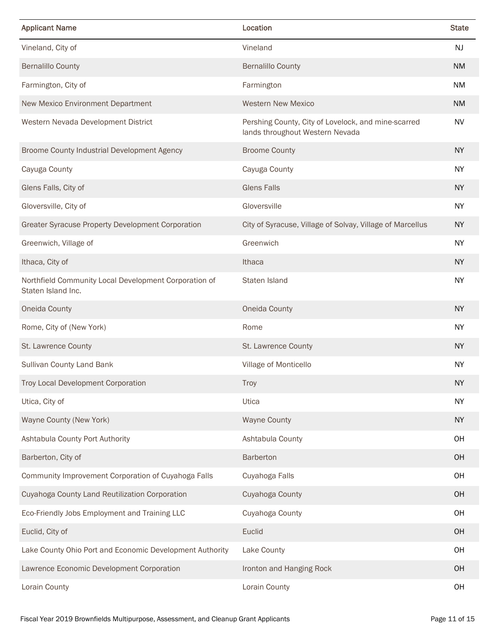| <b>Applicant Name</b>                                                       | Location                                                                               | <b>State</b> |
|-----------------------------------------------------------------------------|----------------------------------------------------------------------------------------|--------------|
| Vineland, City of                                                           | Vineland                                                                               | <b>NJ</b>    |
| <b>Bernalillo County</b>                                                    | <b>Bernalillo County</b>                                                               | <b>NM</b>    |
| Farmington, City of                                                         | Farmington                                                                             | <b>NM</b>    |
| New Mexico Environment Department                                           | <b>Western New Mexico</b>                                                              | <b>NM</b>    |
| Western Nevada Development District                                         | Pershing County, City of Lovelock, and mine-scarred<br>lands throughout Western Nevada | <b>NV</b>    |
| Broome County Industrial Development Agency                                 | <b>Broome County</b>                                                                   | <b>NY</b>    |
| Cayuga County                                                               | Cayuga County                                                                          | <b>NY</b>    |
| Glens Falls, City of                                                        | <b>Glens Falls</b>                                                                     | <b>NY</b>    |
| Gloversville, City of                                                       | Gloversville                                                                           | <b>NY</b>    |
| <b>Greater Syracuse Property Development Corporation</b>                    | City of Syracuse, Village of Solvay, Village of Marcellus                              | <b>NY</b>    |
| Greenwich, Village of                                                       | Greenwich                                                                              | <b>NY</b>    |
| Ithaca, City of                                                             | Ithaca                                                                                 | <b>NY</b>    |
| Northfield Community Local Development Corporation of<br>Staten Island Inc. | Staten Island                                                                          | <b>NY</b>    |
| Oneida County                                                               | Oneida County                                                                          | <b>NY</b>    |
| Rome, City of (New York)                                                    | Rome                                                                                   | <b>NY</b>    |
| St. Lawrence County                                                         | St. Lawrence County                                                                    | <b>NY</b>    |
| Sullivan County Land Bank                                                   | Village of Monticello                                                                  | <b>NY</b>    |
| Troy Local Development Corporation                                          | <b>Troy</b>                                                                            | <b>NY</b>    |
| Utica, City of                                                              | Utica                                                                                  | <b>NY</b>    |
| Wayne County (New York)                                                     | <b>Wayne County</b>                                                                    | <b>NY</b>    |
| Ashtabula County Port Authority                                             | Ashtabula County                                                                       | OH           |
| Barberton, City of                                                          | Barberton                                                                              | OH           |
| Community Improvement Corporation of Cuyahoga Falls                         | Cuyahoga Falls                                                                         | OH           |
| Cuyahoga County Land Reutilization Corporation                              | Cuyahoga County                                                                        | OH           |
| Eco-Friendly Jobs Employment and Training LLC                               | Cuyahoga County                                                                        | OH           |
| Euclid, City of                                                             | Euclid                                                                                 | OH           |
| Lake County Ohio Port and Economic Development Authority                    | Lake County                                                                            | OH           |
| Lawrence Economic Development Corporation                                   | Ironton and Hanging Rock                                                               | OH           |
| Lorain County                                                               | Lorain County                                                                          | OH           |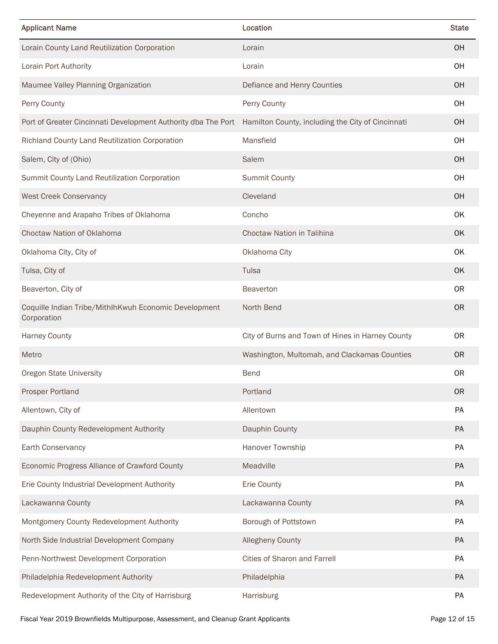| <b>Applicant Name</b>                                                | Location                                          | <b>State</b> |
|----------------------------------------------------------------------|---------------------------------------------------|--------------|
| Lorain County Land Reutilization Corporation                         | Lorain                                            | <b>OH</b>    |
| Lorain Port Authority                                                | Lorain                                            | <b>OH</b>    |
| Maumee Valley Planning Organization                                  | Defiance and Henry Counties                       | <b>OH</b>    |
| Perry County                                                         | Perry County                                      | <b>OH</b>    |
| Port of Greater Cincinnati Development Authority dba The Port        | Hamilton County, including the City of Cincinnati | <b>OH</b>    |
| Richland County Land Reutilization Corporation                       | Mansfield                                         | OH           |
| Salem, City of (Ohio)                                                | Salem                                             | <b>OH</b>    |
| Summit County Land Reutilization Corporation                         | <b>Summit County</b>                              | OH           |
| <b>West Creek Conservancy</b>                                        | Cleveland                                         | <b>OH</b>    |
| Cheyenne and Arapaho Tribes of Oklahoma                              | Concho                                            | OK           |
| Choctaw Nation of Oklahoma                                           | <b>Choctaw Nation in Talihina</b>                 | <b>OK</b>    |
| Oklahoma City, City of                                               | Oklahoma City                                     | <b>OK</b>    |
| Tulsa, City of                                                       | Tulsa                                             | <b>OK</b>    |
| Beaverton, City of                                                   | <b>Beaverton</b>                                  | 0R           |
| Coquille Indian Tribe/MithIhKwuh Economic Development<br>Corporation | North Bend                                        | <b>OR</b>    |
| <b>Harney County</b>                                                 | City of Burns and Town of Hines in Harney County  | 0R           |
| Metro                                                                | Washington, Multomah, and Clackamas Counties      | 0R           |
| <b>Oregon State University</b>                                       | <b>Bend</b>                                       | <b>OR</b>    |
| <b>Prosper Portland</b>                                              | Portland                                          | <b>OR</b>    |
| Allentown, City of                                                   | Allentown                                         | PA           |
| Dauphin County Redevelopment Authority                               | Dauphin County                                    | PA           |
| Earth Conservancy                                                    | Hanover Township                                  | PA           |
| Economic Progress Alliance of Crawford County                        | Meadville                                         | PA           |
| Erie County Industrial Development Authority                         | Erie County                                       | PA           |
| Lackawanna County                                                    | Lackawanna County                                 | <b>PA</b>    |
| Montgomery County Redevelopment Authority                            | Borough of Pottstown                              | PA           |
| North Side Industrial Development Company                            | <b>Allegheny County</b>                           | PA           |
| Penn-Northwest Development Corporation                               | <b>Cities of Sharon and Farrell</b>               | PA           |
| Philadelphia Redevelopment Authority                                 | Philadelphia                                      | <b>PA</b>    |
| Redevelopment Authority of the City of Harrisburg                    | Harrisburg                                        | PA           |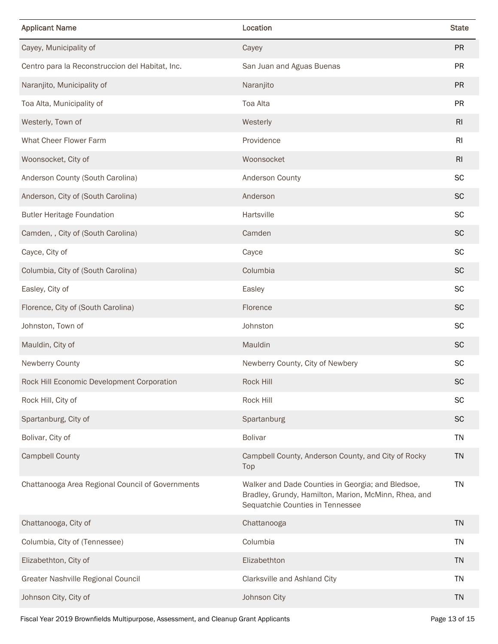| <b>Applicant Name</b>                            | Location                                                                                                                                      | <b>State</b> |
|--------------------------------------------------|-----------------------------------------------------------------------------------------------------------------------------------------------|--------------|
| Cayey, Municipality of                           | Cayey                                                                                                                                         | <b>PR</b>    |
| Centro para la Reconstruccion del Habitat, Inc.  | San Juan and Aguas Buenas                                                                                                                     | <b>PR</b>    |
| Naranjito, Municipality of                       | Naranjito                                                                                                                                     | <b>PR</b>    |
| Toa Alta, Municipality of                        | Toa Alta                                                                                                                                      | <b>PR</b>    |
| Westerly, Town of                                | Westerly                                                                                                                                      | RI           |
| What Cheer Flower Farm                           | Providence                                                                                                                                    | RI           |
| Woonsocket, City of                              | Woonsocket                                                                                                                                    | RI           |
| Anderson County (South Carolina)                 | <b>Anderson County</b>                                                                                                                        | SC           |
| Anderson, City of (South Carolina)               | Anderson                                                                                                                                      | <b>SC</b>    |
| <b>Butler Heritage Foundation</b>                | Hartsville                                                                                                                                    | <b>SC</b>    |
| Camden, , City of (South Carolina)               | Camden                                                                                                                                        | <b>SC</b>    |
| Cayce, City of                                   | Cayce                                                                                                                                         | <b>SC</b>    |
| Columbia, City of (South Carolina)               | Columbia                                                                                                                                      | <b>SC</b>    |
| Easley, City of                                  | Easley                                                                                                                                        | <b>SC</b>    |
| Florence, City of (South Carolina)               | Florence                                                                                                                                      | <b>SC</b>    |
| Johnston, Town of                                | Johnston                                                                                                                                      | <b>SC</b>    |
| Mauldin, City of                                 | Mauldin                                                                                                                                       | <b>SC</b>    |
| Newberry County                                  | Newberry County, City of Newbery                                                                                                              | SC           |
| Rock Hill Economic Development Corporation       | Rock Hill                                                                                                                                     | SC           |
| Rock Hill, City of                               | Rock Hill                                                                                                                                     | SC           |
| Spartanburg, City of                             | Spartanburg                                                                                                                                   | <b>SC</b>    |
| Bolivar, City of                                 | <b>Bolivar</b>                                                                                                                                | <b>TN</b>    |
| <b>Campbell County</b>                           | Campbell County, Anderson County, and City of Rocky<br>Top                                                                                    | <b>TN</b>    |
| Chattanooga Area Regional Council of Governments | Walker and Dade Counties in Georgia; and Bledsoe,<br>Bradley, Grundy, Hamilton, Marion, McMinn, Rhea, and<br>Sequatchie Counties in Tennessee | <b>TN</b>    |
| Chattanooga, City of                             | Chattanooga                                                                                                                                   | <b>TN</b>    |
| Columbia, City of (Tennessee)                    | Columbia                                                                                                                                      | <b>TN</b>    |
| Elizabethton, City of                            | Elizabethton                                                                                                                                  | <b>TN</b>    |
| Greater Nashville Regional Council               | Clarksville and Ashland City                                                                                                                  | <b>TN</b>    |
| Johnson City, City of                            | Johnson City                                                                                                                                  | <b>TN</b>    |

Fiscal Year 2019 Brownfields Multipurpose, Assessment, and Cleanup Grant Applicants Page 13 of 15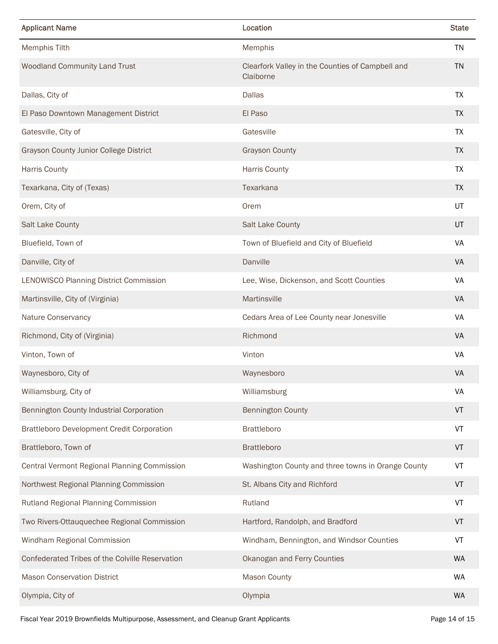| <b>Applicant Name</b>                             | Location                                                      | <b>State</b> |
|---------------------------------------------------|---------------------------------------------------------------|--------------|
| <b>Memphis Tilth</b>                              | Memphis                                                       | TN           |
| Woodland Community Land Trust                     | Clearfork Valley in the Counties of Campbell and<br>Claiborne | <b>TN</b>    |
| Dallas, City of                                   | <b>Dallas</b>                                                 | <b>TX</b>    |
| El Paso Downtown Management District              | El Paso                                                       | <b>TX</b>    |
| Gatesville, City of                               | Gatesville                                                    | TX           |
| <b>Grayson County Junior College District</b>     | <b>Grayson County</b>                                         | <b>TX</b>    |
| <b>Harris County</b>                              | <b>Harris County</b>                                          | TX           |
| Texarkana, City of (Texas)                        | Texarkana                                                     | <b>TX</b>    |
| Orem, City of                                     | Orem                                                          | UT           |
| Salt Lake County                                  | Salt Lake County                                              | UT           |
| Bluefield, Town of                                | Town of Bluefield and City of Bluefield                       | VA           |
| Danville, City of                                 | Danville                                                      | <b>VA</b>    |
| LENOWISCO Planning District Commission            | Lee, Wise, Dickenson, and Scott Counties                      | VA           |
| Martinsville, City of (Virginia)                  | Martinsville                                                  | <b>VA</b>    |
| Nature Conservancy                                | Cedars Area of Lee County near Jonesville                     | VA           |
| Richmond, City of (Virginia)                      | Richmond                                                      | <b>VA</b>    |
| Vinton, Town of                                   | Vinton                                                        | VA           |
| Waynesboro, City of                               | Waynesboro                                                    | VA           |
| Williamsburg, City of                             | Williamsburg                                                  | VA           |
| Bennington County Industrial Corporation          | <b>Bennington County</b>                                      | VT           |
| <b>Brattleboro Development Credit Corporation</b> | <b>Brattleboro</b>                                            | VT           |
| Brattleboro, Town of                              | <b>Brattleboro</b>                                            | VT           |
| Central Vermont Regional Planning Commission      | Washington County and three towns in Orange County            | VT           |
| Northwest Regional Planning Commission            | St. Albans City and Richford                                  | VT           |
| Rutland Regional Planning Commission              | Rutland                                                       | VT           |
| Two Rivers-Ottauquechee Regional Commission       | Hartford, Randolph, and Bradford                              | VT           |
| Windham Regional Commission                       | Windham, Bennington, and Windsor Counties                     | VT           |
| Confederated Tribes of the Colville Reservation   | Okanogan and Ferry Counties                                   | <b>WA</b>    |
| <b>Mason Conservation District</b>                | Mason County                                                  | <b>WA</b>    |
| Olympia, City of                                  | Olympia                                                       | <b>WA</b>    |